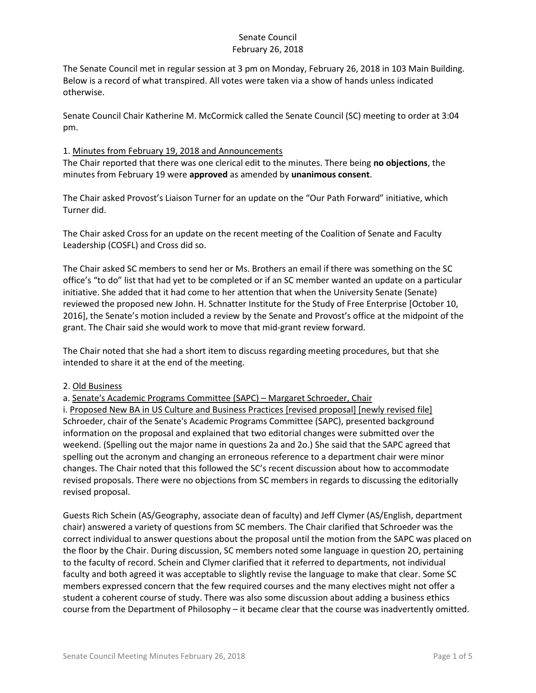The Senate Council met in regular session at 3 pm on Monday, February 26, 2018 in 103 Main Building. Below is a record of what transpired. All votes were taken via a show of hands unless indicated otherwise.

Senate Council Chair Katherine M. McCormick called the Senate Council (SC) meeting to order at 3:04 pm.

### 1. Minutes from February 19, 2018 and Announcements

The Chair reported that there was one clerical edit to the minutes. There being **no objections**, the minutes from February 19 were **approved** as amended by **unanimous consent**.

The Chair asked Provost's Liaison Turner for an update on the "Our Path Forward" initiative, which Turner did.

The Chair asked Cross for an update on the recent meeting of the Coalition of Senate and Faculty Leadership (COSFL) and Cross did so.

The Chair asked SC members to send her or Ms. Brothers an email if there was something on the SC office's "to do" list that had yet to be completed or if an SC member wanted an update on a particular initiative. She added that it had come to her attention that when the University Senate (Senate) reviewed the proposed new John. H. Schnatter Institute for the Study of Free Enterprise [October 10, 2016], the Senate's motion included a review by the Senate and Provost's office at the midpoint of the grant. The Chair said she would work to move that mid-grant review forward.

The Chair noted that she had a short item to discuss regarding meeting procedures, but that she intended to share it at the end of the meeting.

### 2. Old Business

a. Senate's Academic Programs Committee (SAPC) – Margaret Schroeder, Chair

i. Proposed New BA in US Culture and Business Practices [revised proposal] [newly revised file] Schroeder, chair of the Senate's Academic Programs Committee (SAPC), presented background information on the proposal and explained that two editorial changes were submitted over the weekend. (Spelling out the major name in questions 2a and 2o.) She said that the SAPC agreed that spelling out the acronym and changing an erroneous reference to a department chair were minor changes. The Chair noted that this followed the SC's recent discussion about how to accommodate revised proposals. There were no objections from SC members in regards to discussing the editorially revised proposal.

Guests Rich Schein (AS/Geography, associate dean of faculty) and Jeff Clymer (AS/English, department chair) answered a variety of questions from SC members. The Chair clarified that Schroeder was the correct individual to answer questions about the proposal until the motion from the SAPC was placed on the floor by the Chair. During discussion, SC members noted some language in question 2O, pertaining to the faculty of record. Schein and Clymer clarified that it referred to departments, not individual faculty and both agreed it was acceptable to slightly revise the language to make that clear. Some SC members expressed concern that the few required courses and the many electives might not offer a student a coherent course of study. There was also some discussion about adding a business ethics course from the Department of Philosophy – it became clear that the course was inadvertently omitted.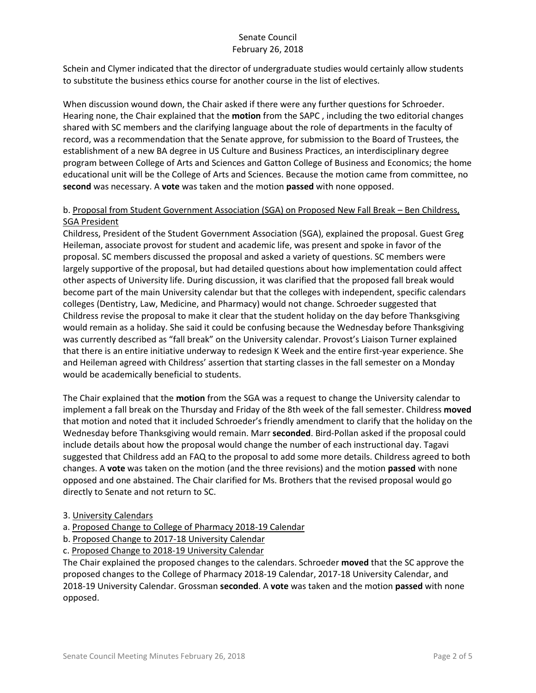Schein and Clymer indicated that the director of undergraduate studies would certainly allow students to substitute the business ethics course for another course in the list of electives.

When discussion wound down, the Chair asked if there were any further questions for Schroeder. Hearing none, the Chair explained that the **motion** from the SAPC , including the two editorial changes shared with SC members and the clarifying language about the role of departments in the faculty of record, was a recommendation that the Senate approve, for submission to the Board of Trustees, the establishment of a new BA degree in US Culture and Business Practices, an interdisciplinary degree program between College of Arts and Sciences and Gatton College of Business and Economics; the home educational unit will be the College of Arts and Sciences. Because the motion came from committee, no **second** was necessary. A **vote** was taken and the motion **passed** with none opposed.

## b. Proposal from Student Government Association (SGA) on Proposed New Fall Break – Ben Childress, SGA President

Childress, President of the Student Government Association (SGA), explained the proposal. Guest Greg Heileman, associate provost for student and academic life, was present and spoke in favor of the proposal. SC members discussed the proposal and asked a variety of questions. SC members were largely supportive of the proposal, but had detailed questions about how implementation could affect other aspects of University life. During discussion, it was clarified that the proposed fall break would become part of the main University calendar but that the colleges with independent, specific calendars colleges (Dentistry, Law, Medicine, and Pharmacy) would not change. Schroeder suggested that Childress revise the proposal to make it clear that the student holiday on the day before Thanksgiving would remain as a holiday. She said it could be confusing because the Wednesday before Thanksgiving was currently described as "fall break" on the University calendar. Provost's Liaison Turner explained that there is an entire initiative underway to redesign K Week and the entire first-year experience. She and Heileman agreed with Childress' assertion that starting classes in the fall semester on a Monday would be academically beneficial to students.

The Chair explained that the **motion** from the SGA was a request to change the University calendar to implement a fall break on the Thursday and Friday of the 8th week of the fall semester. Childress **moved** that motion and noted that it included Schroeder's friendly amendment to clarify that the holiday on the Wednesday before Thanksgiving would remain. Marr **seconded**. Bird-Pollan asked if the proposal could include details about how the proposal would change the number of each instructional day. Tagavi suggested that Childress add an FAQ to the proposal to add some more details. Childress agreed to both changes. A **vote** was taken on the motion (and the three revisions) and the motion **passed** with none opposed and one abstained. The Chair clarified for Ms. Brothers that the revised proposal would go directly to Senate and not return to SC.

### 3. University Calendars

- a. Proposed Change to College of Pharmacy 2018-19 Calendar
- b. Proposed Change to 2017-18 University Calendar
- c. Proposed Change to 2018-19 University Calendar

The Chair explained the proposed changes to the calendars. Schroeder **moved** that the SC approve the proposed changes to the College of Pharmacy 2018-19 Calendar, 2017-18 University Calendar, and 2018-19 University Calendar. Grossman **seconded**. A **vote** was taken and the motion **passed** with none opposed.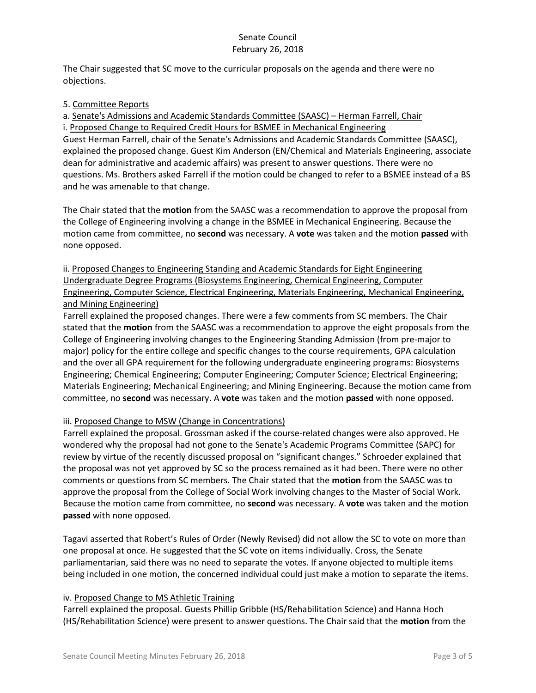The Chair suggested that SC move to the curricular proposals on the agenda and there were no objections.

### 5. Committee Reports

a. Senate's Admissions and Academic Standards Committee (SAASC) – Herman Farrell, Chair i. Proposed Change to Required Credit Hours for BSMEE in Mechanical Engineering Guest Herman Farrell, chair of the Senate's Admissions and Academic Standards Committee (SAASC), explained the proposed change. Guest Kim Anderson (EN/Chemical and Materials Engineering, associate dean for administrative and academic affairs) was present to answer questions. There were no questions. Ms. Brothers asked Farrell if the motion could be changed to refer to a BSMEE instead of a BS and he was amenable to that change.

The Chair stated that the **motion** from the SAASC was a recommendation to approve the proposal from the College of Engineering involving a change in the BSMEE in Mechanical Engineering. Because the motion came from committee, no **second** was necessary. A **vote** was taken and the motion **passed** with none opposed.

# ii. Proposed Changes to Engineering Standing and Academic Standards for Eight Engineering Undergraduate Degree Programs (Biosystems Engineering, Chemical Engineering, Computer Engineering, Computer Science, Electrical Engineering, Materials Engineering, Mechanical Engineering, and Mining Engineering)

Farrell explained the proposed changes. There were a few comments from SC members. The Chair stated that the **motion** from the SAASC was a recommendation to approve the eight proposals from the College of Engineering involving changes to the Engineering Standing Admission (from pre‐major to major) policy for the entire college and specific changes to the course requirements, GPA calculation and the over all GPA requirement for the following undergraduate engineering programs: Biosystems Engineering; Chemical Engineering; Computer Engineering; Computer Science; Electrical Engineering; Materials Engineering; Mechanical Engineering; and Mining Engineering. Because the motion came from committee, no **second** was necessary. A **vote** was taken and the motion **passed** with none opposed.

# iii. Proposed Change to MSW (Change in Concentrations)

Farrell explained the proposal. Grossman asked if the course-related changes were also approved. He wondered why the proposal had not gone to the Senate's Academic Programs Committee (SAPC) for review by virtue of the recently discussed proposal on "significant changes." Schroeder explained that the proposal was not yet approved by SC so the process remained as it had been. There were no other comments or questions from SC members. The Chair stated that the **motion** from the SAASC was to approve the proposal from the College of Social Work involving changes to the Master of Social Work. Because the motion came from committee, no **second** was necessary. A **vote** was taken and the motion **passed** with none opposed.

Tagavi asserted that Robert's Rules of Order (Newly Revised) did not allow the SC to vote on more than one proposal at once. He suggested that the SC vote on items individually. Cross, the Senate parliamentarian, said there was no need to separate the votes. If anyone objected to multiple items being included in one motion, the concerned individual could just make a motion to separate the items.

### iv. Proposed Change to MS Athletic Training

Farrell explained the proposal. Guests Phillip Gribble (HS/Rehabilitation Science) and Hanna Hoch (HS/Rehabilitation Science) were present to answer questions. The Chair said that the **motion** from the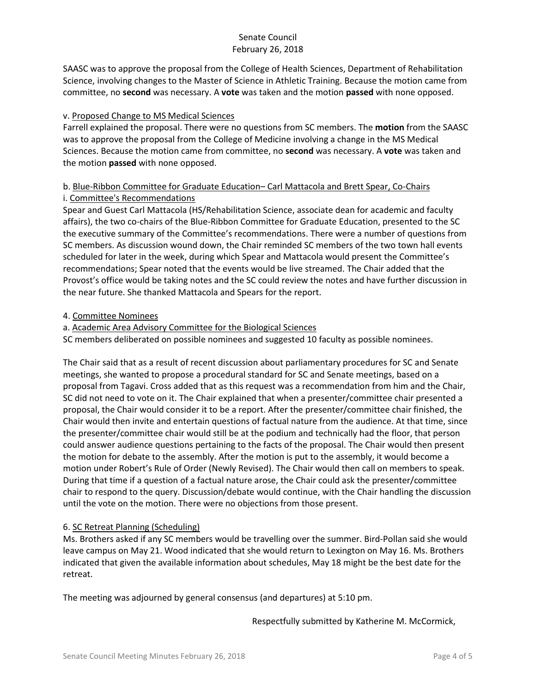SAASC was to approve the proposal from the College of Health Sciences, Department of Rehabilitation Science, involving changes to the Master of Science in Athletic Training. Because the motion came from committee, no **second** was necessary. A **vote** was taken and the motion **passed** with none opposed.

## v. Proposed Change to MS Medical Sciences

Farrell explained the proposal. There were no questions from SC members. The **motion** from the SAASC was to approve the proposal from the College of Medicine involving a change in the MS Medical Sciences. Because the motion came from committee, no **second** was necessary. A **vote** was taken and the motion **passed** with none opposed.

# b. Blue-Ribbon Committee for Graduate Education– Carl Mattacola and Brett Spear, Co-Chairs i. Committee's Recommendations

Spear and Guest Carl Mattacola (HS/Rehabilitation Science, associate dean for academic and faculty affairs), the two co-chairs of the Blue-Ribbon Committee for Graduate Education, presented to the SC the executive summary of the Committee's recommendations. There were a number of questions from SC members. As discussion wound down, the Chair reminded SC members of the two town hall events scheduled for later in the week, during which Spear and Mattacola would present the Committee's recommendations; Spear noted that the events would be live streamed. The Chair added that the Provost's office would be taking notes and the SC could review the notes and have further discussion in the near future. She thanked Mattacola and Spears for the report.

## 4. Committee Nominees

a. Academic Area Advisory Committee for the Biological Sciences

SC members deliberated on possible nominees and suggested 10 faculty as possible nominees.

The Chair said that as a result of recent discussion about parliamentary procedures for SC and Senate meetings, she wanted to propose a procedural standard for SC and Senate meetings, based on a proposal from Tagavi. Cross added that as this request was a recommendation from him and the Chair, SC did not need to vote on it. The Chair explained that when a presenter/committee chair presented a proposal, the Chair would consider it to be a report. After the presenter/committee chair finished, the Chair would then invite and entertain questions of factual nature from the audience. At that time, since the presenter/committee chair would still be at the podium and technically had the floor, that person could answer audience questions pertaining to the facts of the proposal. The Chair would then present the motion for debate to the assembly. After the motion is put to the assembly, it would become a motion under Robert's Rule of Order (Newly Revised). The Chair would then call on members to speak. During that time if a question of a factual nature arose, the Chair could ask the presenter/committee chair to respond to the query. Discussion/debate would continue, with the Chair handling the discussion until the vote on the motion. There were no objections from those present.

# 6. SC Retreat Planning (Scheduling)

Ms. Brothers asked if any SC members would be travelling over the summer. Bird-Pollan said she would leave campus on May 21. Wood indicated that she would return to Lexington on May 16. Ms. Brothers indicated that given the available information about schedules, May 18 might be the best date for the retreat.

The meeting was adjourned by general consensus (and departures) at 5:10 pm.

Respectfully submitted by Katherine M. McCormick,